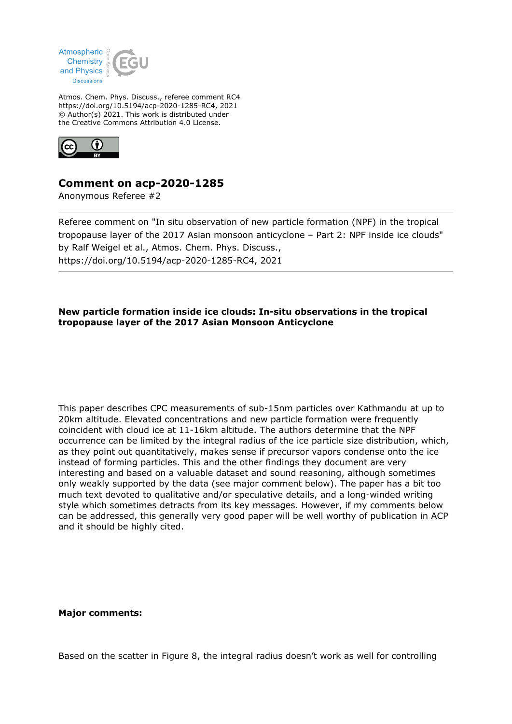

Atmos. Chem. Phys. Discuss., referee comment RC4 https://doi.org/10.5194/acp-2020-1285-RC4, 2021 © Author(s) 2021. This work is distributed under the Creative Commons Attribution 4.0 License.



## **Comment on acp-2020-1285**

Anonymous Referee #2

Referee comment on "In situ observation of new particle formation (NPF) in the tropical tropopause layer of the 2017 Asian monsoon anticyclone – Part 2: NPF inside ice clouds" by Ralf Weigel et al., Atmos. Chem. Phys. Discuss., https://doi.org/10.5194/acp-2020-1285-RC4, 2021

## **New particle formation inside ice clouds: In-situ observations in the tropical tropopause layer of the 2017 Asian Monsoon Anticyclone**

This paper describes CPC measurements of sub-15nm particles over Kathmandu at up to 20km altitude. Elevated concentrations and new particle formation were frequently coincident with cloud ice at 11-16km altitude. The authors determine that the NPF occurrence can be limited by the integral radius of the ice particle size distribution, which, as they point out quantitatively, makes sense if precursor vapors condense onto the ice instead of forming particles. This and the other findings they document are very interesting and based on a valuable dataset and sound reasoning, although sometimes only weakly supported by the data (see major comment below). The paper has a bit too much text devoted to qualitative and/or speculative details, and a long-winded writing style which sometimes detracts from its key messages. However, if my comments below can be addressed, this generally very good paper will be well worthy of publication in ACP and it should be highly cited.

## **Major comments:**

Based on the scatter in Figure 8, the integral radius doesn't work as well for controlling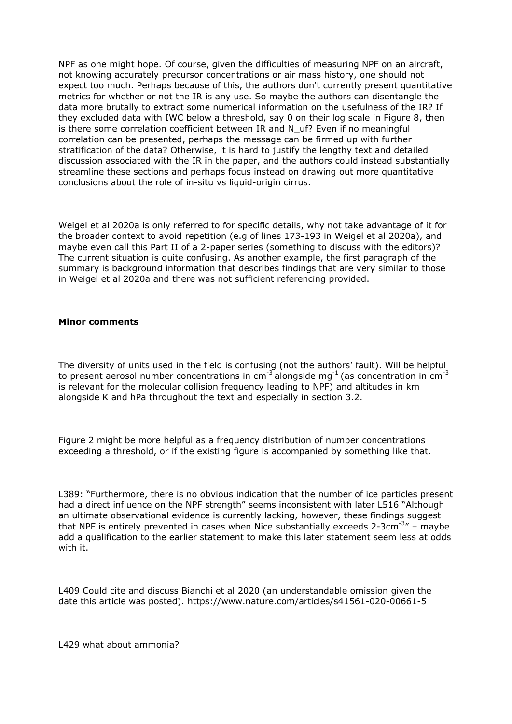NPF as one might hope. Of course, given the difficulties of measuring NPF on an aircraft, not knowing accurately precursor concentrations or air mass history, one should not expect too much. Perhaps because of this, the authors don't currently present quantitative metrics for whether or not the IR is any use. So maybe the authors can disentangle the data more brutally to extract some numerical information on the usefulness of the IR? If they excluded data with IWC below a threshold, say 0 on their log scale in Figure 8, then is there some correlation coefficient between IR and N\_uf? Even if no meaningful correlation can be presented, perhaps the message can be firmed up with further stratification of the data? Otherwise, it is hard to justify the lengthy text and detailed discussion associated with the IR in the paper, and the authors could instead substantially streamline these sections and perhaps focus instead on drawing out more quantitative conclusions about the role of in-situ vs liquid-origin cirrus.

Weigel et al 2020a is only referred to for specific details, why not take advantage of it for the broader context to avoid repetition (e.g of lines 173-193 in Weigel et al 2020a), and maybe even call this Part II of a 2-paper series (something to discuss with the editors)? The current situation is quite confusing. As another example, the first paragraph of the summary is background information that describes findings that are very similar to those in Weigel et al 2020a and there was not sufficient referencing provided.

## **Minor comments**

The diversity of units used in the field is confusing (not the authors' fault). Will be helpful to present aerosol number concentrations in cm<sup>-3</sup> alongside mg<sup>-1</sup> (as concentration in cm<sup>-3</sup> is relevant for the molecular collision frequency leading to NPF) and altitudes in km alongside K and hPa throughout the text and especially in section 3.2.

Figure 2 might be more helpful as a frequency distribution of number concentrations exceeding a threshold, or if the existing figure is accompanied by something like that.

L389: "Furthermore, there is no obvious indication that the number of ice particles present had a direct influence on the NPF strength" seems inconsistent with later L516 "Although an ultimate observational evidence is currently lacking, however, these findings suggest that NPF is entirely prevented in cases when Nice substantially exceeds 2-3cm<sup>-3</sup> – maybe add a qualification to the earlier statement to make this later statement seem less at odds with it.

L409 Could cite and discuss Bianchi et al 2020 (an understandable omission given the date this article was posted). https://www.nature.com/articles/s41561-020-00661-5

L429 what about ammonia?